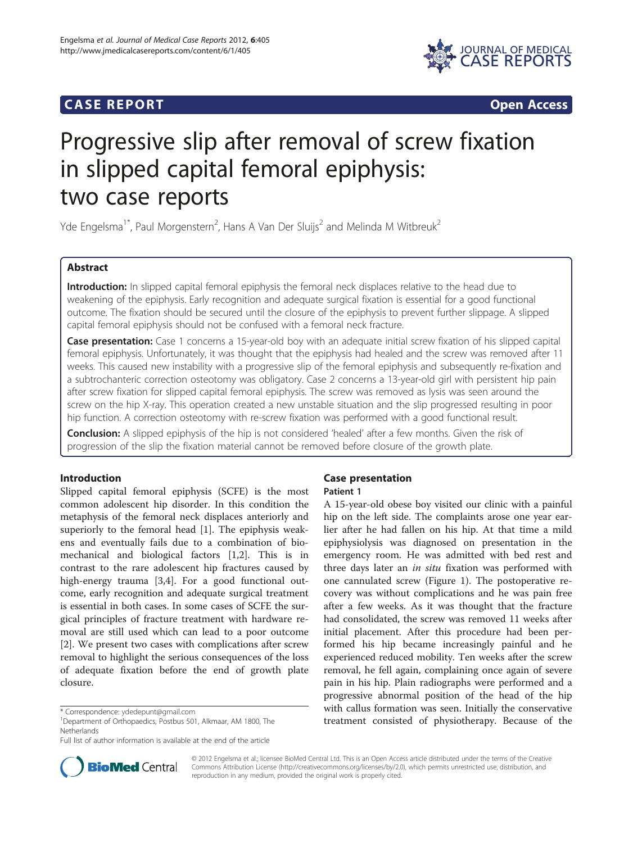# **CASE REPORT CASE REPORT**



# Progressive slip after removal of screw fixation in slipped capital femoral epiphysis: two case reports

Yde Engelsma<sup>1\*</sup>, Paul Morgenstern<sup>2</sup>, Hans A Van Der Sluijs<sup>2</sup> and Melinda M Witbreuk<sup>2</sup>

# Abstract

Introduction: In slipped capital femoral epiphysis the femoral neck displaces relative to the head due to weakening of the epiphysis. Early recognition and adequate surgical fixation is essential for a good functional outcome. The fixation should be secured until the closure of the epiphysis to prevent further slippage. A slipped capital femoral epiphysis should not be confused with a femoral neck fracture.

Case presentation: Case 1 concerns a 15-year-old boy with an adequate initial screw fixation of his slipped capital femoral epiphysis. Unfortunately, it was thought that the epiphysis had healed and the screw was removed after 11 weeks. This caused new instability with a progressive slip of the femoral epiphysis and subsequently re-fixation and a subtrochanteric correction osteotomy was obligatory. Case 2 concerns a 13-year-old girl with persistent hip pain after screw fixation for slipped capital femoral epiphysis. The screw was removed as lysis was seen around the screw on the hip X-ray. This operation created a new unstable situation and the slip progressed resulting in poor hip function. A correction osteotomy with re-screw fixation was performed with a good functional result.

**Conclusion:** A slipped epiphysis of the hip is not considered 'healed' after a few months. Given the risk of progression of the slip the fixation material cannot be removed before closure of the growth plate.

# Introduction

Slipped capital femoral epiphysis (SCFE) is the most common adolescent hip disorder. In this condition the metaphysis of the femoral neck displaces anteriorly and superiorly to the femoral head [\[1](#page-3-0)]. The epiphysis weakens and eventually fails due to a combination of biomechanical and biological factors [[1,2\]](#page-3-0). This is in contrast to the rare adolescent hip fractures caused by high-energy trauma [[3,4\]](#page-3-0). For a good functional outcome, early recognition and adequate surgical treatment is essential in both cases. In some cases of SCFE the surgical principles of fracture treatment with hardware removal are still used which can lead to a poor outcome [[2\]](#page-3-0). We present two cases with complications after screw removal to highlight the serious consequences of the loss of adequate fixation before the end of growth plate closure.

# Case presentation

#### Patient 1

A 15-year-old obese boy visited our clinic with a painful hip on the left side. The complaints arose one year earlier after he had fallen on his hip. At that time a mild epiphysiolysis was diagnosed on presentation in the emergency room. He was admitted with bed rest and three days later an in situ fixation was performed with one cannulated screw (Figure [1](#page-1-0)). The postoperative recovery was without complications and he was pain free after a few weeks. As it was thought that the fracture had consolidated, the screw was removed 11 weeks after initial placement. After this procedure had been performed his hip became increasingly painful and he experienced reduced mobility. Ten weeks after the screw removal, he fell again, complaining once again of severe pain in his hip. Plain radiographs were performed and a progressive abnormal position of the head of the hip with callus formation was seen. Initially the conservative treatment consisted of physiotherapy. Because of the



© 2012 Engelsma et al.; licensee BioMed Central Ltd. This is an Open Access article distributed under the terms of the Creative Commons Attribution License [\(http://creativecommons.org/licenses/by/2.0\)](http://creativecommons.org/licenses/by/2.0), which permits unrestricted use, distribution, and reproduction in any medium, provided the original work is properly cited.

<sup>\*</sup> Correspondence: [ydedepunt@gmail.com](mailto:ydedepunt@gmail.com) <sup>1</sup>

<sup>&</sup>lt;sup>1</sup>Department of Orthopaedics, Postbus 501, Alkmaar, AM 1800, The Netherlands

Full list of author information is available at the end of the article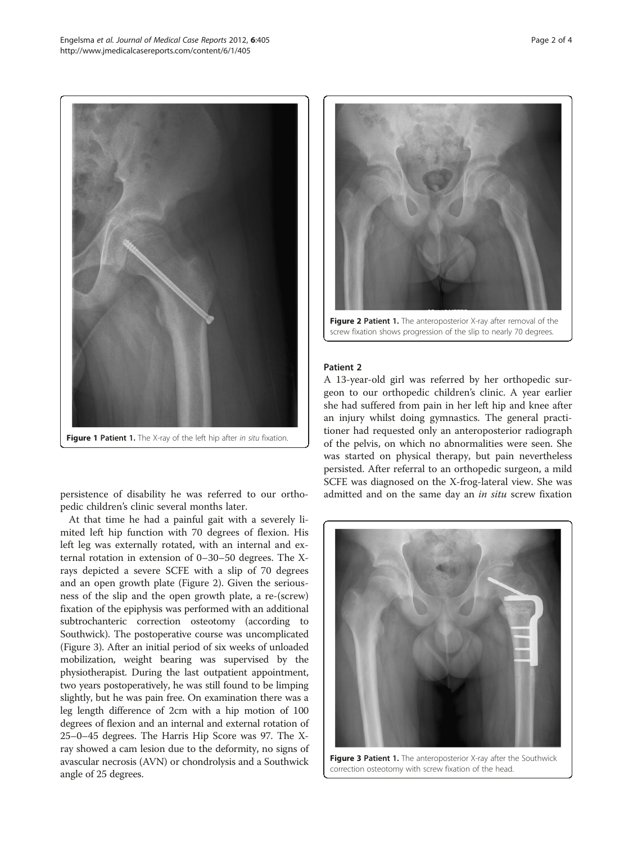<span id="page-1-0"></span>

Figure 1 Patient 1. The X-ray of the left hip after in situ fixation.

persistence of disability he was referred to our orthopedic children's clinic several months later.

At that time he had a painful gait with a severely limited left hip function with 70 degrees of flexion. His left leg was externally rotated, with an internal and external rotation in extension of 0–30–50 degrees. The Xrays depicted a severe SCFE with a slip of 70 degrees and an open growth plate (Figure 2). Given the seriousness of the slip and the open growth plate, a re-(screw) fixation of the epiphysis was performed with an additional subtrochanteric correction osteotomy (according to Southwick). The postoperative course was uncomplicated (Figure 3). After an initial period of six weeks of unloaded mobilization, weight bearing was supervised by the physiotherapist. During the last outpatient appointment, two years postoperatively, he was still found to be limping slightly, but he was pain free. On examination there was a leg length difference of 2cm with a hip motion of 100 degrees of flexion and an internal and external rotation of 25–0–45 degrees. The Harris Hip Score was 97. The Xray showed a cam lesion due to the deformity, no signs of avascular necrosis (AVN) or chondrolysis and a Southwick angle of 25 degrees.



Figure 2 Patient 1. The anteroposterior X-ray after removal of the screw fixation shows progression of the slip to nearly 70 degrees.

# Patient 2

A 13-year-old girl was referred by her orthopedic surgeon to our orthopedic children's clinic. A year earlier she had suffered from pain in her left hip and knee after an injury whilst doing gymnastics. The general practitioner had requested only an anteroposterior radiograph of the pelvis, on which no abnormalities were seen. She was started on physical therapy, but pain nevertheless persisted. After referral to an orthopedic surgeon, a mild SCFE was diagnosed on the X-frog-lateral view. She was admitted and on the same day an in situ screw fixation



Figure 3 Patient 1. The anteroposterior X-ray after the Southwick correction osteotomy with screw fixation of the head.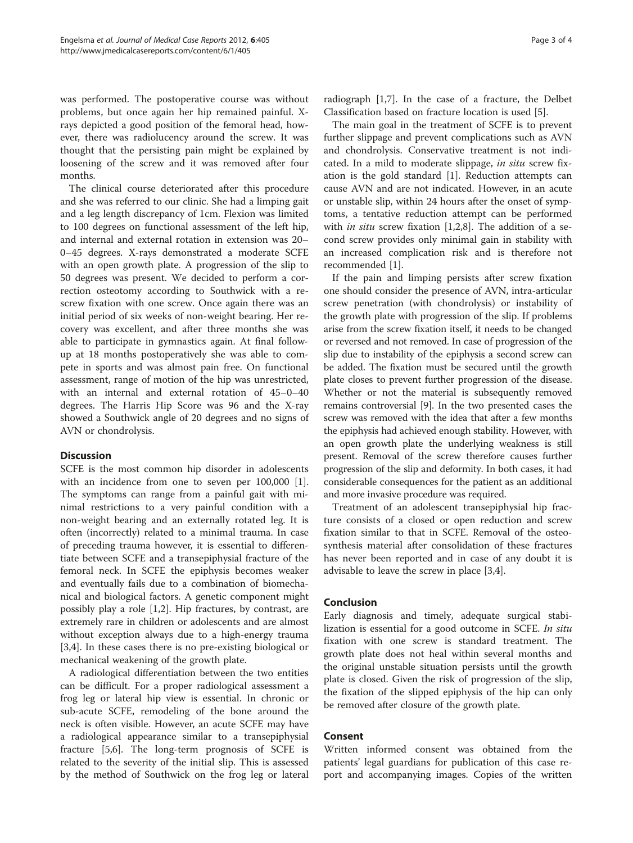was performed. The postoperative course was without problems, but once again her hip remained painful. Xrays depicted a good position of the femoral head, however, there was radiolucency around the screw. It was thought that the persisting pain might be explained by loosening of the screw and it was removed after four months.

The clinical course deteriorated after this procedure and she was referred to our clinic. She had a limping gait and a leg length discrepancy of 1cm. Flexion was limited to 100 degrees on functional assessment of the left hip, and internal and external rotation in extension was 20– 0–45 degrees. X-rays demonstrated a moderate SCFE with an open growth plate. A progression of the slip to 50 degrees was present. We decided to perform a correction osteotomy according to Southwick with a rescrew fixation with one screw. Once again there was an initial period of six weeks of non-weight bearing. Her recovery was excellent, and after three months she was able to participate in gymnastics again. At final followup at 18 months postoperatively she was able to compete in sports and was almost pain free. On functional assessment, range of motion of the hip was unrestricted, with an internal and external rotation of 45–0–40 degrees. The Harris Hip Score was 96 and the X-ray showed a Southwick angle of 20 degrees and no signs of AVN or chondrolysis.

## **Discussion**

SCFE is the most common hip disorder in adolescents with an incidence from one to seven per 100,000 [\[1](#page-3-0)]. The symptoms can range from a painful gait with minimal restrictions to a very painful condition with a non-weight bearing and an externally rotated leg. It is often (incorrectly) related to a minimal trauma. In case of preceding trauma however, it is essential to differentiate between SCFE and a transepiphysial fracture of the femoral neck. In SCFE the epiphysis becomes weaker and eventually fails due to a combination of biomechanical and biological factors. A genetic component might possibly play a role [[1,2\]](#page-3-0). Hip fractures, by contrast, are extremely rare in children or adolescents and are almost without exception always due to a high-energy trauma [[3,4\]](#page-3-0). In these cases there is no pre-existing biological or mechanical weakening of the growth plate.

A radiological differentiation between the two entities can be difficult. For a proper radiological assessment a frog leg or lateral hip view is essential. In chronic or sub-acute SCFE, remodeling of the bone around the neck is often visible. However, an acute SCFE may have a radiological appearance similar to a transepiphysial fracture [[5,6\]](#page-3-0). The long-term prognosis of SCFE is related to the severity of the initial slip. This is assessed by the method of Southwick on the frog leg or lateral radiograph [\[1,7](#page-3-0)]. In the case of a fracture, the Delbet Classification based on fracture location is used [[5\]](#page-3-0).

The main goal in the treatment of SCFE is to prevent further slippage and prevent complications such as AVN and chondrolysis. Conservative treatment is not indicated. In a mild to moderate slippage, in situ screw fixation is the gold standard [\[1](#page-3-0)]. Reduction attempts can cause AVN and are not indicated. However, in an acute or unstable slip, within 24 hours after the onset of symptoms, a tentative reduction attempt can be performed with *in situ* screw fixation  $[1,2,8]$  $[1,2,8]$  $[1,2,8]$  $[1,2,8]$ . The addition of a second screw provides only minimal gain in stability with an increased complication risk and is therefore not recommended [[1](#page-3-0)].

If the pain and limping persists after screw fixation one should consider the presence of AVN, intra-articular screw penetration (with chondrolysis) or instability of the growth plate with progression of the slip. If problems arise from the screw fixation itself, it needs to be changed or reversed and not removed. In case of progression of the slip due to instability of the epiphysis a second screw can be added. The fixation must be secured until the growth plate closes to prevent further progression of the disease. Whether or not the material is subsequently removed remains controversial [[9](#page-3-0)]. In the two presented cases the screw was removed with the idea that after a few months the epiphysis had achieved enough stability. However, with an open growth plate the underlying weakness is still present. Removal of the screw therefore causes further progression of the slip and deformity. In both cases, it had considerable consequences for the patient as an additional and more invasive procedure was required.

Treatment of an adolescent transepiphysial hip fracture consists of a closed or open reduction and screw fixation similar to that in SCFE. Removal of the osteosynthesis material after consolidation of these fractures has never been reported and in case of any doubt it is advisable to leave the screw in place [[3,4\]](#page-3-0).

#### Conclusion

Early diagnosis and timely, adequate surgical stabilization is essential for a good outcome in SCFE. In situ fixation with one screw is standard treatment. The growth plate does not heal within several months and the original unstable situation persists until the growth plate is closed. Given the risk of progression of the slip, the fixation of the slipped epiphysis of the hip can only be removed after closure of the growth plate.

### Consent

Written informed consent was obtained from the patients' legal guardians for publication of this case report and accompanying images. Copies of the written